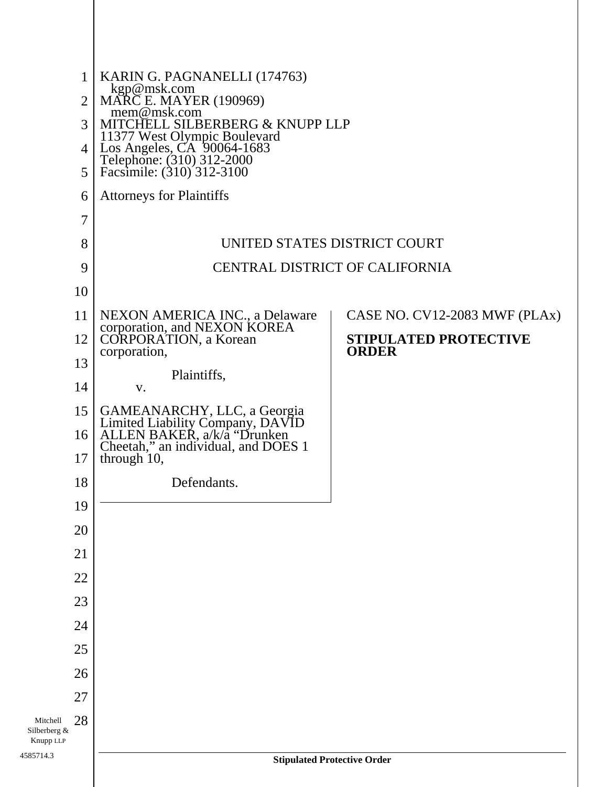| $\mathbf{1}$<br>$\overline{2}$<br>3<br>4<br>5 | KARIN G. PAGNANELLI (174763)<br>kgp@msk.com<br>MARC E. MAYER (190969)<br>mem@msk.com<br>MITCHELL SILBERBERG & KNUPP LLP<br>11377 West Olympic Boulevard<br>Los Angeles, CA 90064-1683<br>Telephone: (310) 312-2000<br>Facsimile: (310) 312-3100 |                                       |
|-----------------------------------------------|-------------------------------------------------------------------------------------------------------------------------------------------------------------------------------------------------------------------------------------------------|---------------------------------------|
| 6                                             | <b>Attorneys for Plaintiffs</b>                                                                                                                                                                                                                 |                                       |
| 7                                             |                                                                                                                                                                                                                                                 |                                       |
| 8                                             |                                                                                                                                                                                                                                                 | UNITED STATES DISTRICT COURT          |
| 9                                             |                                                                                                                                                                                                                                                 | <b>CENTRAL DISTRICT OF CALIFORNIA</b> |
| 10                                            |                                                                                                                                                                                                                                                 |                                       |
| 11                                            |                                                                                                                                                                                                                                                 | CASE NO. CV12-2083 MWF (PLAx)         |
| 12                                            | NEXON AMERICA INC., a Delaware<br>corporation, and NEXON KOREA<br>CORPORATION, a Korean                                                                                                                                                         | STIPULATED PROTECTIVE                 |
| 13                                            | corporation,                                                                                                                                                                                                                                    | <b>ORDER</b>                          |
| 14                                            | Plaintiffs,<br>V.                                                                                                                                                                                                                               |                                       |
| 15                                            |                                                                                                                                                                                                                                                 |                                       |
| 16                                            | GAMEANARCHY, LLC, a Georgia<br>Limited Liability Company, DAVID<br>ALLEN BAKER, a/k/a "Drunken<br>Cheetah," an individual, and DOES 1                                                                                                           |                                       |
| 17                                            | through 10,                                                                                                                                                                                                                                     |                                       |
| 18                                            | Defendants.                                                                                                                                                                                                                                     |                                       |
| 19                                            |                                                                                                                                                                                                                                                 |                                       |
| 20                                            |                                                                                                                                                                                                                                                 |                                       |
| 21                                            |                                                                                                                                                                                                                                                 |                                       |
| 22                                            |                                                                                                                                                                                                                                                 |                                       |
| 23                                            |                                                                                                                                                                                                                                                 |                                       |
| 24                                            |                                                                                                                                                                                                                                                 |                                       |
| 25                                            |                                                                                                                                                                                                                                                 |                                       |
| 26                                            |                                                                                                                                                                                                                                                 |                                       |
| 27                                            |                                                                                                                                                                                                                                                 |                                       |
| 28<br>Mitchell<br>Silberberg &<br>Knupp LLP   |                                                                                                                                                                                                                                                 |                                       |
| 4585714.3                                     |                                                                                                                                                                                                                                                 | <b>Stipulated Protective Order</b>    |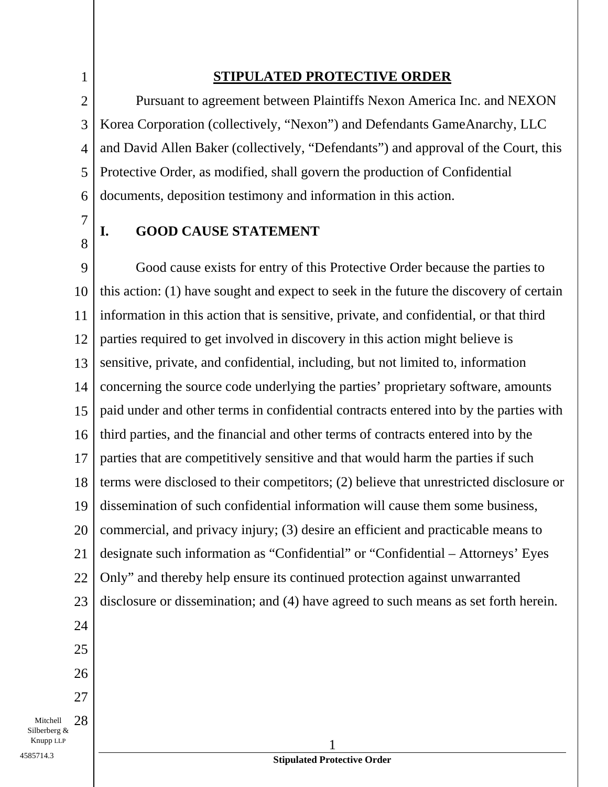### **STIPULATED PROTECTIVE ORDER**

Pursuant to agreement between Plaintiffs Nexon America Inc. and NEXON Korea Corporation (collectively, "Nexon") and Defendants GameAnarchy, LLC and David Allen Baker (collectively, "Defendants") and approval of the Court, this Protective Order, as modified, shall govern the production of Confidential documents, deposition testimony and information in this action.

7 8

1

2

3

4

5

6

### **I. GOOD CAUSE STATEMENT**

9 10 11 12 13 14 15 16 17 18 19 20 21 22 23 24 25 26 27 Good cause exists for entry of this Protective Order because the parties to this action: (1) have sought and expect to seek in the future the discovery of certain information in this action that is sensitive, private, and confidential, or that third parties required to get involved in discovery in this action might believe is sensitive, private, and confidential, including, but not limited to, information concerning the source code underlying the parties' proprietary software, amounts paid under and other terms in confidential contracts entered into by the parties with third parties, and the financial and other terms of contracts entered into by the parties that are competitively sensitive and that would harm the parties if such terms were disclosed to their competitors; (2) believe that unrestricted disclosure or dissemination of such confidential information will cause them some business, commercial, and privacy injury; (3) desire an efficient and practicable means to designate such information as "Confidential" or "Confidential – Attorneys' Eyes Only" and thereby help ensure its continued protection against unwarranted disclosure or dissemination; and (4) have agreed to such means as set forth herein.

Mitchell 28 Silberberg &  $\blacksquare$  1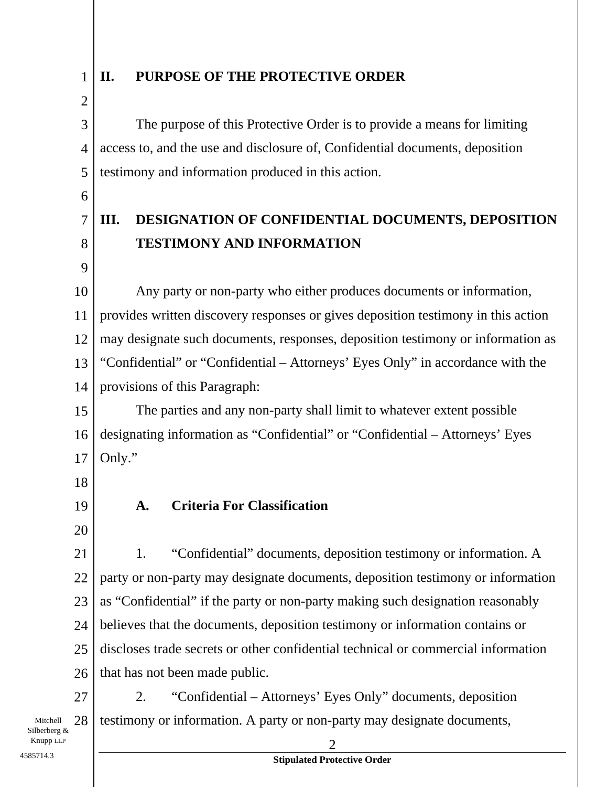1 2

### **II. PURPOSE OF THE PROTECTIVE ORDER**

3 4 5 The purpose of this Protective Order is to provide a means for limiting access to, and the use and disclosure of, Confidential documents, deposition testimony and information produced in this action.

6

7

### **III. DESIGNATION OF CONFIDENTIAL DOCUMENTS, DEPOSITION TESTIMONY AND INFORMATION**

8 9

10 11 12 13 14 Any party or non-party who either produces documents or information, provides written discovery responses or gives deposition testimony in this action may designate such documents, responses, deposition testimony or information as "Confidential" or "Confidential – Attorneys' Eyes Only" in accordance with the provisions of this Paragraph:

15 16 17 The parties and any non-party shall limit to whatever extent possible designating information as "Confidential" or "Confidential – Attorneys' Eyes Only."

18

19 20

### **A. Criteria For Classification**

21 22 23 24 25 26 1. "Confidential" documents, deposition testimony or information. A party or non-party may designate documents, deposition testimony or information as "Confidential" if the party or non-party making such designation reasonably believes that the documents, deposition testimony or information contains or discloses trade secrets or other confidential technical or commercial information that has not been made public.

27 2. "Confidential – Attorneys' Eyes Only" documents, deposition testimony or information. A party or non-party may designate documents,

Mitchell 28 Silberberg &  $\sum$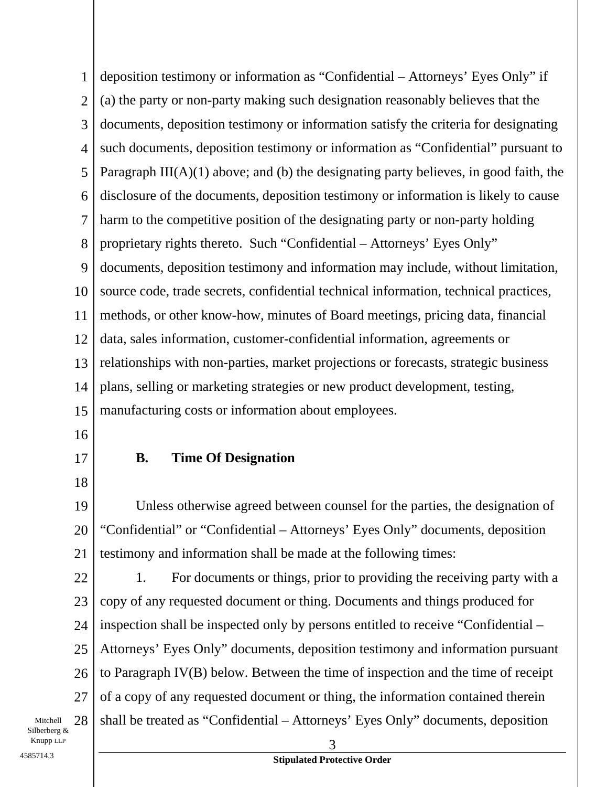1 2 3 4 5 6 7 8 9 10 11 12 13 14 15 deposition testimony or information as "Confidential – Attorneys' Eyes Only" if (a) the party or non-party making such designation reasonably believes that the documents, deposition testimony or information satisfy the criteria for designating such documents, deposition testimony or information as "Confidential" pursuant to Paragraph  $III(A)(1)$  above; and (b) the designating party believes, in good faith, the disclosure of the documents, deposition testimony or information is likely to cause harm to the competitive position of the designating party or non-party holding proprietary rights thereto. Such "Confidential – Attorneys' Eyes Only" documents, deposition testimony and information may include, without limitation, source code, trade secrets, confidential technical information, technical practices, methods, or other know-how, minutes of Board meetings, pricing data, financial data, sales information, customer-confidential information, agreements or relationships with non-parties, market projections or forecasts, strategic business plans, selling or marketing strategies or new product development, testing, manufacturing costs or information about employees.

- 16
- 17 18

### **B. Time Of Designation**

19 20 21 Unless otherwise agreed between counsel for the parties, the designation of "Confidential" or "Confidential – Attorneys' Eyes Only" documents, deposition testimony and information shall be made at the following times:

22 23 24 25 26 27  $\sum$   $\sum$  3 1. For documents or things, prior to providing the receiving party with a copy of any requested document or thing. Documents and things produced for inspection shall be inspected only by persons entitled to receive "Confidential – Attorneys' Eyes Only" documents, deposition testimony and information pursuant to Paragraph IV(B) below. Between the time of inspection and the time of receipt of a copy of any requested document or thing, the information contained therein shall be treated as "Confidential – Attorneys' Eyes Only" documents, deposition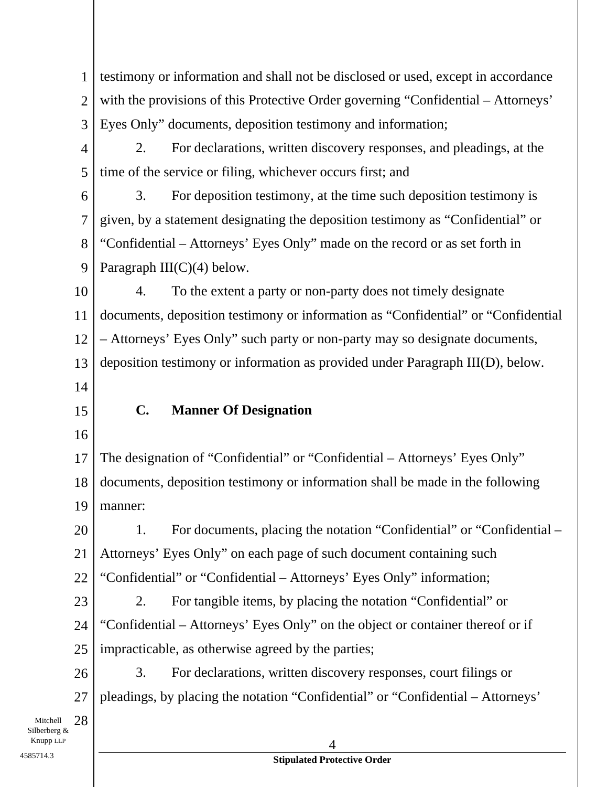1 2 3 testimony or information and shall not be disclosed or used, except in accordance with the provisions of this Protective Order governing "Confidential – Attorneys' Eyes Only" documents, deposition testimony and information;

4 5 2. For declarations, written discovery responses, and pleadings, at the time of the service or filing, whichever occurs first; and

6 7 8 9 3. For deposition testimony, at the time such deposition testimony is given, by a statement designating the deposition testimony as "Confidential" or "Confidential – Attorneys' Eyes Only" made on the record or as set forth in Paragraph  $III(C)(4)$  below.

10 11 12 13 4. To the extent a party or non-party does not timely designate documents, deposition testimony or information as "Confidential" or "Confidential – Attorneys' Eyes Only" such party or non-party may so designate documents, deposition testimony or information as provided under Paragraph III(D), below.

- 14
- 15

### **C. Manner Of Designation**

16

17 18 19 The designation of "Confidential" or "Confidential – Attorneys' Eyes Only" documents, deposition testimony or information shall be made in the following manner:

20 21 22 1. For documents, placing the notation "Confidential" or "Confidential – Attorneys' Eyes Only" on each page of such document containing such "Confidential" or "Confidential – Attorneys' Eyes Only" information;

23 24 25 2. For tangible items, by placing the notation "Confidential" or "Confidential – Attorneys' Eyes Only" on the object or container thereof or if impracticable, as otherwise agreed by the parties;

26 27 3. For declarations, written discovery responses, court filings or pleadings, by placing the notation "Confidential" or "Confidential – Attorneys'

Mitchell 28 Silberberg &  $\blacksquare$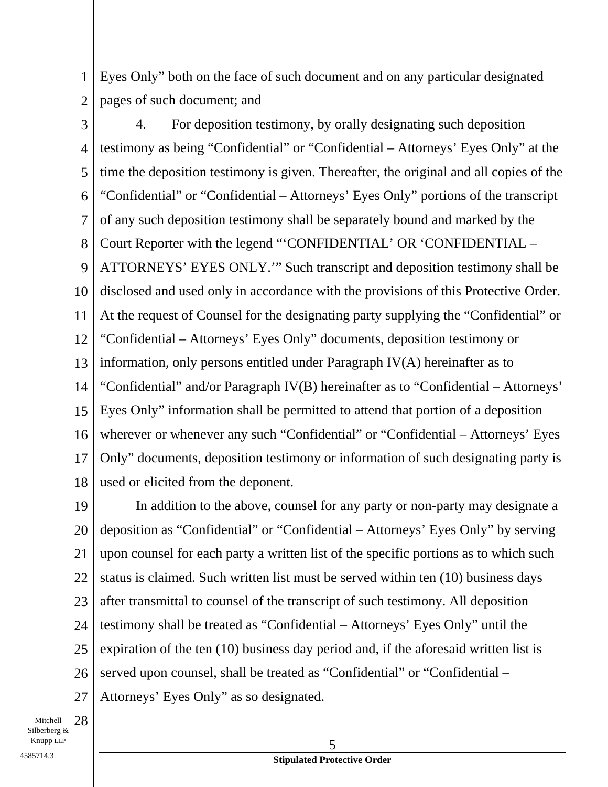1 2 Eyes Only" both on the face of such document and on any particular designated pages of such document; and

3 4 5 6 7 8 9 10 11 12 13 14 15 16 17 18 4. For deposition testimony, by orally designating such deposition testimony as being "Confidential" or "Confidential – Attorneys' Eyes Only" at the time the deposition testimony is given. Thereafter, the original and all copies of the "Confidential" or "Confidential – Attorneys' Eyes Only" portions of the transcript of any such deposition testimony shall be separately bound and marked by the Court Reporter with the legend "'CONFIDENTIAL' OR 'CONFIDENTIAL – ATTORNEYS' EYES ONLY.'" Such transcript and deposition testimony shall be disclosed and used only in accordance with the provisions of this Protective Order. At the request of Counsel for the designating party supplying the "Confidential" or "Confidential – Attorneys' Eyes Only" documents, deposition testimony or information, only persons entitled under Paragraph IV(A) hereinafter as to "Confidential" and/or Paragraph IV(B) hereinafter as to "Confidential – Attorneys' Eyes Only" information shall be permitted to attend that portion of a deposition wherever or whenever any such "Confidential" or "Confidential – Attorneys' Eyes Only" documents, deposition testimony or information of such designating party is used or elicited from the deponent.

19 20 21 22 23 24 25 26 27 In addition to the above, counsel for any party or non-party may designate a deposition as "Confidential" or "Confidential – Attorneys' Eyes Only" by serving upon counsel for each party a written list of the specific portions as to which such status is claimed. Such written list must be served within ten (10) business days after transmittal to counsel of the transcript of such testimony. All deposition testimony shall be treated as "Confidential – Attorneys' Eyes Only" until the expiration of the ten (10) business day period and, if the aforesaid written list is served upon counsel, shall be treated as "Confidential" or "Confidential – Attorneys' Eyes Only" as so designated.

Mitchell 28 Silberberg &  $K$ nupp LLP  $\qquad \qquad \overline{5}$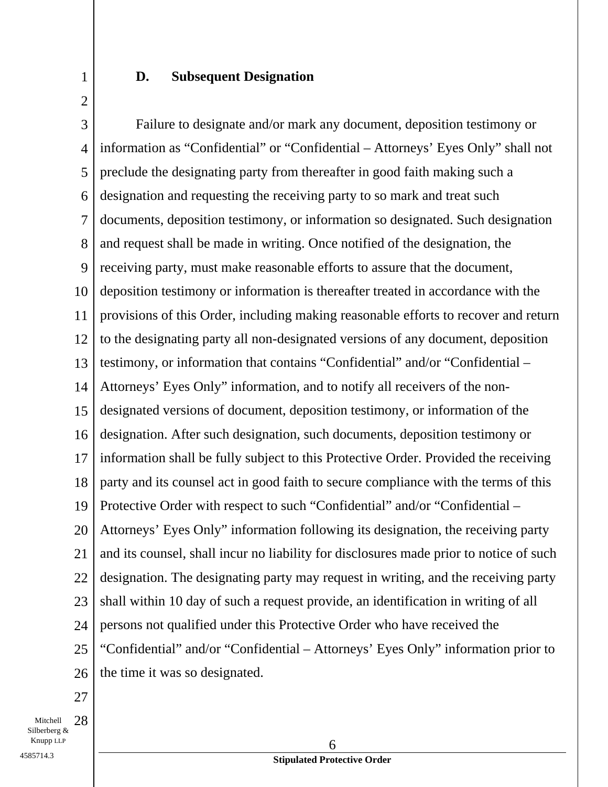**D. Subsequent Designation** 

3 4 5 6 7 8 9 10 11 12 13 14 15 16 17 18 19 20 21 22 23 24 25 26 Failure to designate and/or mark any document, deposition testimony or information as "Confidential" or "Confidential – Attorneys' Eyes Only" shall not preclude the designating party from thereafter in good faith making such a designation and requesting the receiving party to so mark and treat such documents, deposition testimony, or information so designated. Such designation and request shall be made in writing. Once notified of the designation, the receiving party, must make reasonable efforts to assure that the document, deposition testimony or information is thereafter treated in accordance with the provisions of this Order, including making reasonable efforts to recover and return to the designating party all non-designated versions of any document, deposition testimony, or information that contains "Confidential" and/or "Confidential -Attorneys' Eyes Only" information, and to notify all receivers of the nondesignated versions of document, deposition testimony, or information of the designation. After such designation, such documents, deposition testimony or information shall be fully subject to this Protective Order. Provided the receiving party and its counsel act in good faith to secure compliance with the terms of this Protective Order with respect to such "Confidential" and/or "Confidential – Attorneys' Eyes Only" information following its designation, the receiving party and its counsel, shall incur no liability for disclosures made prior to notice of such designation. The designating party may request in writing, and the receiving party shall within 10 day of such a request provide, an identification in writing of all persons not qualified under this Protective Order who have received the "Confidential" and/or "Confidential – Attorneys' Eyes Only" information prior to the time it was so designated.

27

1

2

Mitchell 28 Silberberg &  $K$ nupp LLP  $\qquad \qquad \overline{6}$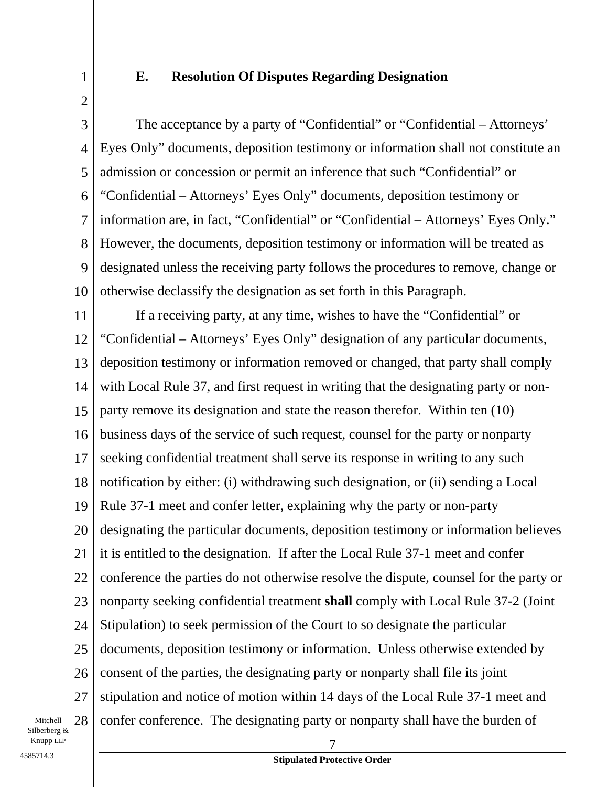1 2

### **E. Resolution Of Disputes Regarding Designation**

3 4 5 6 7 8 9 10 The acceptance by a party of "Confidential" or "Confidential – Attorneys' Eyes Only" documents, deposition testimony or information shall not constitute an admission or concession or permit an inference that such "Confidential" or "Confidential – Attorneys' Eyes Only" documents, deposition testimony or information are, in fact, "Confidential" or "Confidential – Attorneys' Eyes Only." However, the documents, deposition testimony or information will be treated as designated unless the receiving party follows the procedures to remove, change or otherwise declassify the designation as set forth in this Paragraph.

11 12 13 14 15 16 17 18 19 20 21 22 23 24 25 26 27 Knupp LLP 7 If a receiving party, at any time, wishes to have the "Confidential" or "Confidential – Attorneys' Eyes Only" designation of any particular documents, deposition testimony or information removed or changed, that party shall comply with Local Rule 37, and first request in writing that the designating party or nonparty remove its designation and state the reason therefor. Within ten (10) business days of the service of such request, counsel for the party or nonparty seeking confidential treatment shall serve its response in writing to any such notification by either: (i) withdrawing such designation, or (ii) sending a Local Rule 37-1 meet and confer letter, explaining why the party or non-party designating the particular documents, deposition testimony or information believes it is entitled to the designation. If after the Local Rule 37-1 meet and confer conference the parties do not otherwise resolve the dispute, counsel for the party or nonparty seeking confidential treatment **shall** comply with Local Rule 37-2 (Joint Stipulation) to seek permission of the Court to so designate the particular documents, deposition testimony or information. Unless otherwise extended by consent of the parties, the designating party or nonparty shall file its joint stipulation and notice of motion within 14 days of the Local Rule 37-1 meet and confer conference. The designating party or nonparty shall have the burden of

Mitchell 28 Silberberg &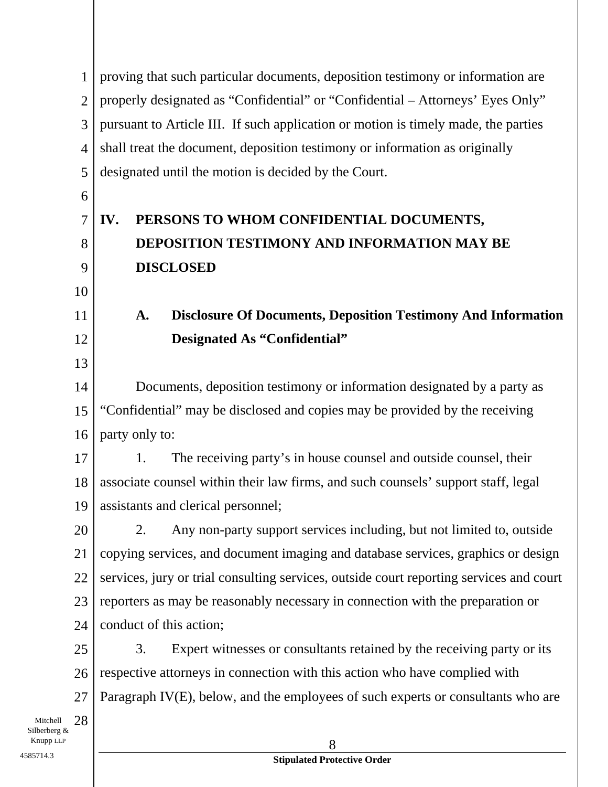1 2 3 4 5 6 7 8 9 10 11 12 13 14 15 16 17 18 19 20 21 22 23 24 25 26 27 Mitchell 28  $\blacksquare$ proving that such particular documents, deposition testimony or information are properly designated as "Confidential" or "Confidential – Attorneys' Eyes Only" pursuant to Article III. If such application or motion is timely made, the parties shall treat the document, deposition testimony or information as originally designated until the motion is decided by the Court. **IV. PERSONS TO WHOM CONFIDENTIAL DOCUMENTS, DEPOSITION TESTIMONY AND INFORMATION MAY BE DISCLOSED A. Disclosure Of Documents, Deposition Testimony And Information Designated As "Confidential"**  Documents, deposition testimony or information designated by a party as "Confidential" may be disclosed and copies may be provided by the receiving party only to: 1. The receiving party's in house counsel and outside counsel, their associate counsel within their law firms, and such counsels' support staff, legal assistants and clerical personnel; 2. Any non-party support services including, but not limited to, outside copying services, and document imaging and database services, graphics or design services, jury or trial consulting services, outside court reporting services and court reporters as may be reasonably necessary in connection with the preparation or conduct of this action; 3. Expert witnesses or consultants retained by the receiving party or its respective attorneys in connection with this action who have complied with Paragraph IV(E), below, and the employees of such experts or consultants who are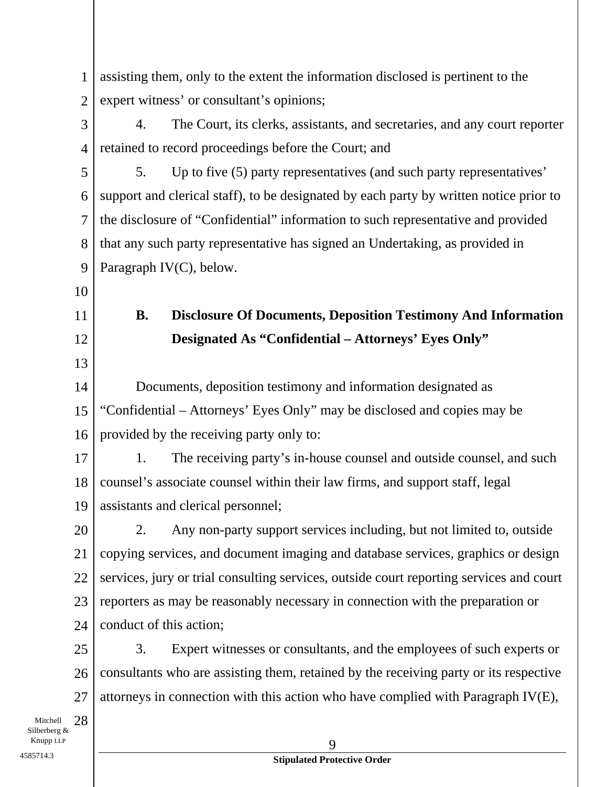| 1                              | assisting them, only to the extent the information disclosed is pertinent to the        |  |
|--------------------------------|-----------------------------------------------------------------------------------------|--|
| $\mathfrak{2}$                 | expert witness' or consultant's opinions;                                               |  |
| 3                              | The Court, its clerks, assistants, and secretaries, and any court reporter<br>4.        |  |
| $\overline{4}$                 | retained to record proceedings before the Court; and                                    |  |
| 5                              | Up to five (5) party representatives (and such party representatives'<br>5.             |  |
| 6                              | support and clerical staff), to be designated by each party by written notice prior to  |  |
| $\tau$                         | the disclosure of "Confidential" information to such representative and provided        |  |
| 8                              | that any such party representative has signed an Undertaking, as provided in            |  |
| 9                              | Paragraph IV(C), below.                                                                 |  |
| 10                             |                                                                                         |  |
| 11                             | <b>B.</b><br><b>Disclosure Of Documents, Deposition Testimony And Information</b>       |  |
| 12                             | Designated As "Confidential - Attorneys' Eyes Only"                                     |  |
| 13                             |                                                                                         |  |
| 14                             | Documents, deposition testimony and information designated as                           |  |
| 15                             | "Confidential – Attorneys' Eyes Only" may be disclosed and copies may be                |  |
| 16                             | provided by the receiving party only to:                                                |  |
| 17                             | The receiving party's in-house counsel and outside counsel, and such<br>1.              |  |
| 18                             | counsel's associate counsel within their law firms, and support staff, legal            |  |
| 19                             | assistants and clerical personnel;                                                      |  |
| 20                             | Any non-party support services including, but not limited to, outside<br>2.             |  |
| 21                             | copying services, and document imaging and database services, graphics or design        |  |
| 22                             | services, jury or trial consulting services, outside court reporting services and court |  |
| 23                             | reporters as may be reasonably necessary in connection with the preparation or          |  |
| 24                             | conduct of this action;                                                                 |  |
| 25                             | 3.<br>Expert witnesses or consultants, and the employees of such experts or             |  |
| 26                             | consultants who are assisting them, retained by the receiving party or its respective   |  |
| 27                             | attorneys in connection with this action who have complied with Paragraph IV $(E)$ ,    |  |
| 28<br>Mitchell<br>Silberberg & |                                                                                         |  |
| Knupp LLP<br>4585714.3         | 9                                                                                       |  |
|                                | <b>Stipulated Protective Order</b>                                                      |  |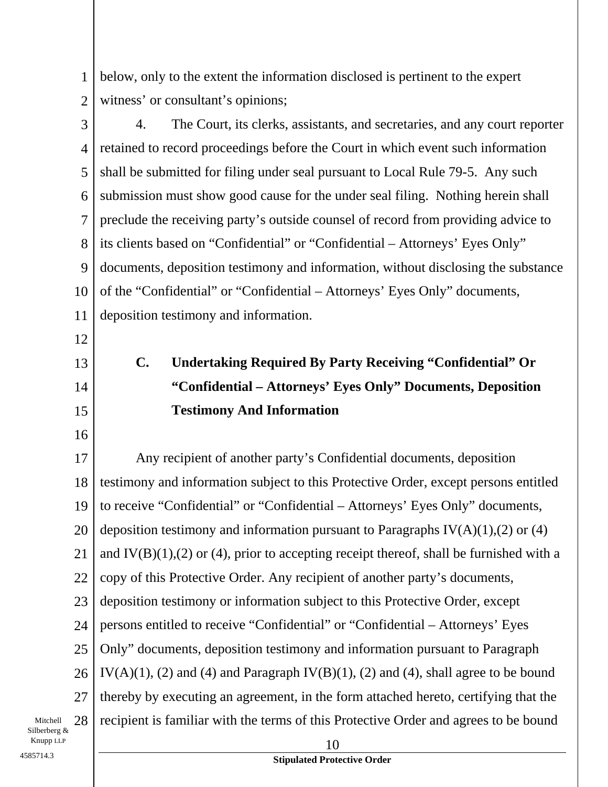1 2 below, only to the extent the information disclosed is pertinent to the expert witness' or consultant's opinions;

3 4 5 6 7 8 9 10 11 4. The Court, its clerks, assistants, and secretaries, and any court reporter retained to record proceedings before the Court in which event such information shall be submitted for filing under seal pursuant to Local Rule 79-5. Any such submission must show good cause for the under seal filing. Nothing herein shall preclude the receiving party's outside counsel of record from providing advice to its clients based on "Confidential" or "Confidential – Attorneys' Eyes Only" documents, deposition testimony and information, without disclosing the substance of the "Confidential" or "Confidential – Attorneys' Eyes Only" documents, deposition testimony and information.

12

# 13

14 15

16

## **C. Undertaking Required By Party Receiving "Confidential" Or "Confidential – Attorneys' Eyes Only" Documents, Deposition Testimony And Information**

17 18 19 20 21 22 23 24 25 26 27 Any recipient of another party's Confidential documents, deposition testimony and information subject to this Protective Order, except persons entitled to receive "Confidential" or "Confidential – Attorneys' Eyes Only" documents, deposition testimony and information pursuant to Paragraphs  $IV(A)(1),(2)$  or (4) and  $IV(B)(1),(2)$  or (4), prior to accepting receipt thereof, shall be furnished with a copy of this Protective Order. Any recipient of another party's documents, deposition testimony or information subject to this Protective Order, except persons entitled to receive "Confidential" or "Confidential – Attorneys' Eyes Only" documents, deposition testimony and information pursuant to Paragraph IV(A)(1), (2) and (4) and Paragraph IV(B)(1), (2) and (4), shall agree to be bound thereby by executing an agreement, in the form attached hereto, certifying that the recipient is familiar with the terms of this Protective Order and agrees to be bound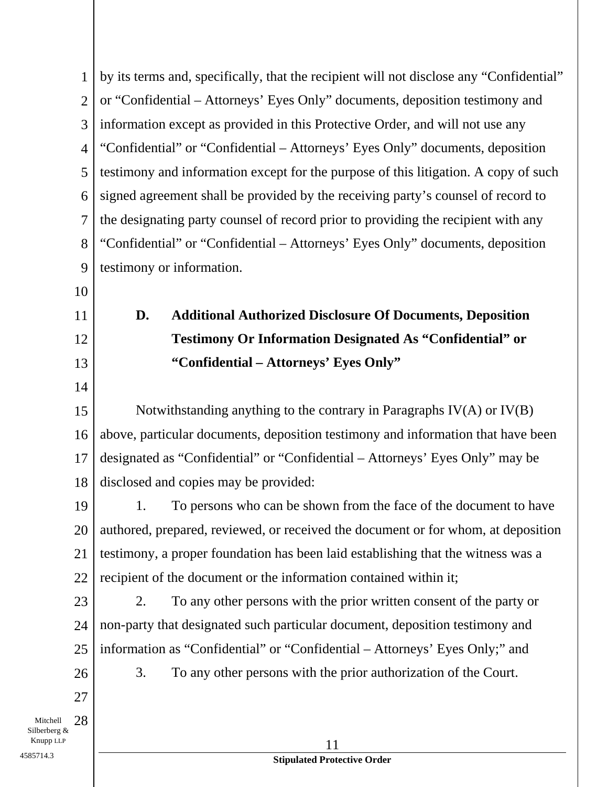|                                | by its terms and, specifically, that the recipient will not disclose any "Confidential"<br>$\mathbf{1}$ |  |
|--------------------------------|---------------------------------------------------------------------------------------------------------|--|
|                                | or "Confidential – Attorneys' Eyes Only" documents, deposition testimony and<br>$\overline{2}$          |  |
| 3                              | information except as provided in this Protective Order, and will not use any                           |  |
| $\overline{4}$                 | "Confidential" or "Confidential - Attorneys' Eyes Only" documents, deposition                           |  |
|                                | testimony and information except for the purpose of this litigation. A copy of such<br>5                |  |
| 6                              | signed agreement shall be provided by the receiving party's counsel of record to                        |  |
| $\overline{7}$                 | the designating party counsel of record prior to providing the recipient with any                       |  |
| 8                              | "Confidential" or "Confidential – Attorneys' Eyes Only" documents, deposition                           |  |
| 9                              | testimony or information.                                                                               |  |
| 10                             |                                                                                                         |  |
| 11                             | D.<br><b>Additional Authorized Disclosure Of Documents, Deposition</b>                                  |  |
| 12                             | <b>Testimony Or Information Designated As "Confidential" or</b>                                         |  |
| 13                             | "Confidential – Attorneys' Eyes Only"                                                                   |  |
| 14                             |                                                                                                         |  |
| 15                             | Notwithstanding anything to the contrary in Paragraphs $IV(A)$ or $IV(B)$                               |  |
| 16                             | above, particular documents, deposition testimony and information that have been                        |  |
| 17                             | designated as "Confidential" or "Confidential - Attorneys' Eyes Only" may be                            |  |
| 18                             | disclosed and copies may be provided:                                                                   |  |
| 19                             | To persons who can be shown from the face of the document to have<br>1.                                 |  |
| 20                             | authored, prepared, reviewed, or received the document or for whom, at deposition                       |  |
| 21                             | testimony, a proper foundation has been laid establishing that the witness was a                        |  |
| 22                             | recipient of the document or the information contained within it;                                       |  |
| 23                             | 2.<br>To any other persons with the prior written consent of the party or                               |  |
| 24                             | non-party that designated such particular document, deposition testimony and                            |  |
| 25                             | information as "Confidential" or "Confidential – Attorneys' Eyes Only;" and                             |  |
| 26                             | 3.<br>To any other persons with the prior authorization of the Court.                                   |  |
| 27                             |                                                                                                         |  |
| 28<br>Mitchell<br>Silberberg & |                                                                                                         |  |
| Knupp LLP                      | 11                                                                                                      |  |
| 4585714.3                      | <b>Stipulated Protective Order</b>                                                                      |  |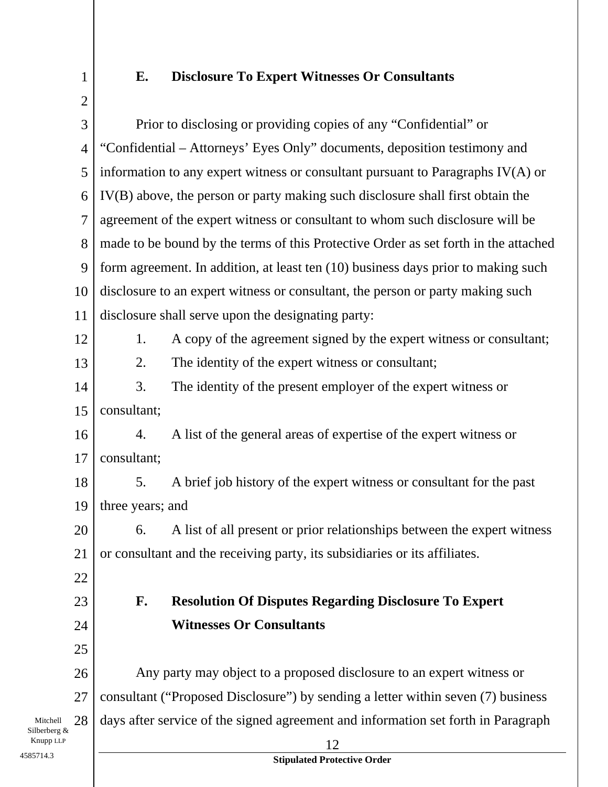1

## **E. Disclosure To Expert Witnesses Or Consultants**

|                          | $\overline{2}$ |                                                                                     |  |
|--------------------------|----------------|-------------------------------------------------------------------------------------|--|
|                          | 3              | Prior to disclosing or providing copies of any "Confidential" or                    |  |
|                          | $\overline{4}$ | "Confidential – Attorneys' Eyes Only" documents, deposition testimony and           |  |
|                          | 5              | information to any expert witness or consultant pursuant to Paragraphs IV(A) or     |  |
|                          | 6              | IV(B) above, the person or party making such disclosure shall first obtain the      |  |
|                          | $\overline{7}$ | agreement of the expert witness or consultant to whom such disclosure will be       |  |
|                          | 8              | made to be bound by the terms of this Protective Order as set forth in the attached |  |
|                          | 9              | form agreement. In addition, at least ten (10) business days prior to making such   |  |
|                          | 10             | disclosure to an expert witness or consultant, the person or party making such      |  |
|                          | 11             | disclosure shall serve upon the designating party:                                  |  |
|                          | 12             | A copy of the agreement signed by the expert witness or consultant;<br>1.           |  |
|                          | 13             | The identity of the expert witness or consultant;<br>2.                             |  |
|                          | 14             | 3.<br>The identity of the present employer of the expert witness or                 |  |
|                          | 15             | consultant;                                                                         |  |
|                          | 16             | A list of the general areas of expertise of the expert witness or<br>4.             |  |
|                          | 17             | consultant;                                                                         |  |
|                          | 18             | A brief job history of the expert witness or consultant for the past<br>5.          |  |
|                          | 19             | three years; and                                                                    |  |
|                          | 20             | 6. A list of all present or prior relationships between the expert witness          |  |
| 21                       |                | or consultant and the receiving party, its subsidiaries or its affiliates.          |  |
|                          | 22             |                                                                                     |  |
|                          | 23             | <b>Resolution Of Disputes Regarding Disclosure To Expert</b><br>F.                  |  |
|                          | 24             | <b>Witnesses Or Consultants</b>                                                     |  |
|                          | 25             |                                                                                     |  |
|                          | 26             | Any party may object to a proposed disclosure to an expert witness or               |  |
|                          | 27             | consultant ("Proposed Disclosure") by sending a letter within seven (7) business    |  |
| Mitchell<br>Silberberg & | 28             | days after service of the signed agreement and information set forth in Paragraph   |  |
| Knupp LLP<br>4585714.3   |                | 12<br><b>Stipulated Protective Order</b>                                            |  |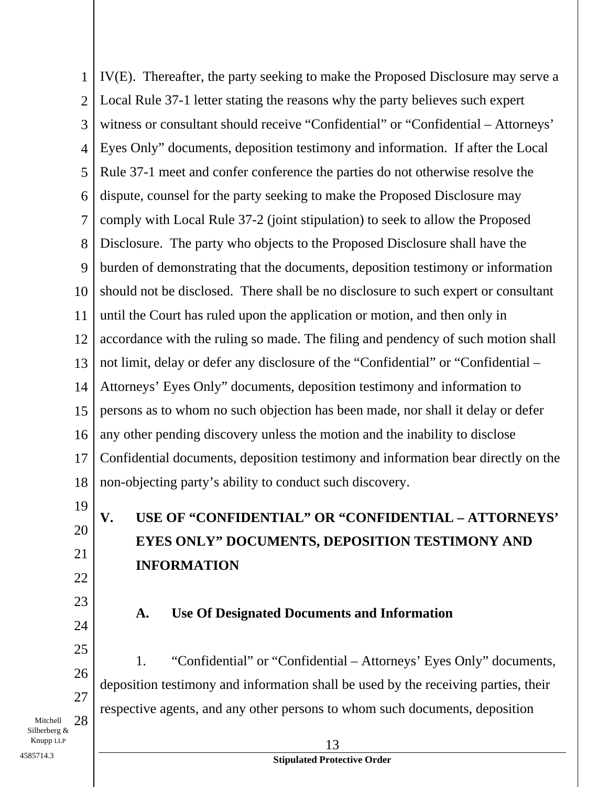1 2 3 4 5 6 7 8 9 10 11 12 13 14 15 16 17 18 IV(E). Thereafter, the party seeking to make the Proposed Disclosure may serve a Local Rule 37-1 letter stating the reasons why the party believes such expert witness or consultant should receive "Confidential" or "Confidential – Attorneys' Eyes Only" documents, deposition testimony and information. If after the Local Rule 37-1 meet and confer conference the parties do not otherwise resolve the dispute, counsel for the party seeking to make the Proposed Disclosure may comply with Local Rule 37-2 (joint stipulation) to seek to allow the Proposed Disclosure. The party who objects to the Proposed Disclosure shall have the burden of demonstrating that the documents, deposition testimony or information should not be disclosed. There shall be no disclosure to such expert or consultant until the Court has ruled upon the application or motion, and then only in accordance with the ruling so made. The filing and pendency of such motion shall not limit, delay or defer any disclosure of the "Confidential" or "Confidential – Attorneys' Eyes Only" documents, deposition testimony and information to persons as to whom no such objection has been made, nor shall it delay or defer any other pending discovery unless the motion and the inability to disclose Confidential documents, deposition testimony and information bear directly on the non-objecting party's ability to conduct such discovery.

19 20

21

22

24

25

26

27

## **V. USE OF "CONFIDENTIAL" OR "CONFIDENTIAL – ATTORNEYS' EYES ONLY" DOCUMENTS, DEPOSITION TESTIMONY AND INFORMATION**

23

### **A. Use Of Designated Documents and Information**

1. "Confidential" or "Confidential – Attorneys' Eyes Only" documents, deposition testimony and information shall be used by the receiving parties, their respective agents, and any other persons to whom such documents, deposition

Mitchell 28 Silberberg &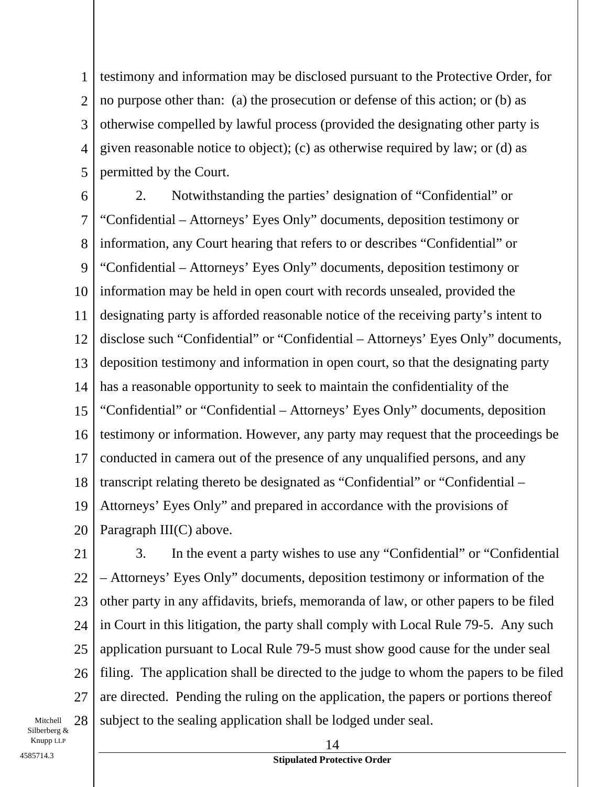1 2 3 4 5 testimony and information may be disclosed pursuant to the Protective Order, for no purpose other than: (a) the prosecution or defense of this action; or (b) as otherwise compelled by lawful process (provided the designating other party is given reasonable notice to object); (c) as otherwise required by law; or (d) as permitted by the Court.

6 7 8 9 10 11 12 13 14 15 16 17 18 19 20 2. Notwithstanding the parties' designation of "Confidential" or "Confidential – Attorneys' Eyes Only" documents, deposition testimony or information, any Court hearing that refers to or describes "Confidential" or "Confidential – Attorneys' Eyes Only" documents, deposition testimony or information may be held in open court with records unsealed, provided the designating party is afforded reasonable notice of the receiving party's intent to disclose such "Confidential" or "Confidential – Attorneys' Eyes Only" documents, deposition testimony and information in open court, so that the designating party has a reasonable opportunity to seek to maintain the confidentiality of the "Confidential" or "Confidential – Attorneys' Eyes Only" documents, deposition testimony or information. However, any party may request that the proceedings be conducted in camera out of the presence of any unqualified persons, and any transcript relating thereto be designated as "Confidential" or "Confidential – Attorneys' Eyes Only" and prepared in accordance with the provisions of Paragraph III(C) above.

26 27 3. In the event a party wishes to use any "Confidential" or "Confidential – Attorneys' Eyes Only" documents, deposition testimony or information of the other party in any affidavits, briefs, memoranda of law, or other papers to be filed in Court in this litigation, the party shall comply with Local Rule 79-5. Any such application pursuant to Local Rule 79-5 must show good cause for the under seal filing. The application shall be directed to the judge to whom the papers to be filed are directed. Pending the ruling on the application, the papers or portions thereof subject to the sealing application shall be lodged under seal.

Mitchell 28 Silberberg &

### **Stipulated Protective Order** 4585714.3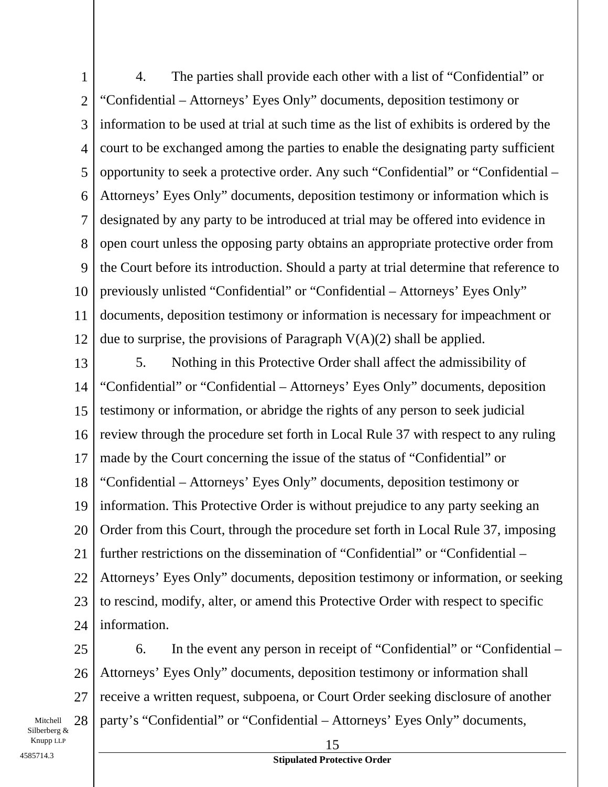1 2 3 4 5 6 7 8 9 10 11 12 4. The parties shall provide each other with a list of "Confidential" or "Confidential – Attorneys' Eyes Only" documents, deposition testimony or information to be used at trial at such time as the list of exhibits is ordered by the court to be exchanged among the parties to enable the designating party sufficient opportunity to seek a protective order. Any such "Confidential" or "Confidential – Attorneys' Eyes Only" documents, deposition testimony or information which is designated by any party to be introduced at trial may be offered into evidence in open court unless the opposing party obtains an appropriate protective order from the Court before its introduction. Should a party at trial determine that reference to previously unlisted "Confidential" or "Confidential – Attorneys' Eyes Only" documents, deposition testimony or information is necessary for impeachment or due to surprise, the provisions of Paragraph  $V(A)(2)$  shall be applied.

13 14 15 16 17 18 19 20 21 22 23 24 5. Nothing in this Protective Order shall affect the admissibility of "Confidential" or "Confidential – Attorneys' Eyes Only" documents, deposition testimony or information, or abridge the rights of any person to seek judicial review through the procedure set forth in Local Rule 37 with respect to any ruling made by the Court concerning the issue of the status of "Confidential" or "Confidential – Attorneys' Eyes Only" documents, deposition testimony or information. This Protective Order is without prejudice to any party seeking an Order from this Court, through the procedure set forth in Local Rule 37, imposing further restrictions on the dissemination of "Confidential" or "Confidential – Attorneys' Eyes Only" documents, deposition testimony or information, or seeking to rescind, modify, alter, or amend this Protective Order with respect to specific information.

25 26 27 6. In the event any person in receipt of "Confidential" or "Confidential – Attorneys' Eyes Only" documents, deposition testimony or information shall receive a written request, subpoena, or Court Order seeking disclosure of another party's "Confidential" or "Confidential – Attorneys' Eyes Only" documents,

Mitchell 28 Silberberg &  $\blacksquare$  15

**Stipulated Protective Order** 4585714.3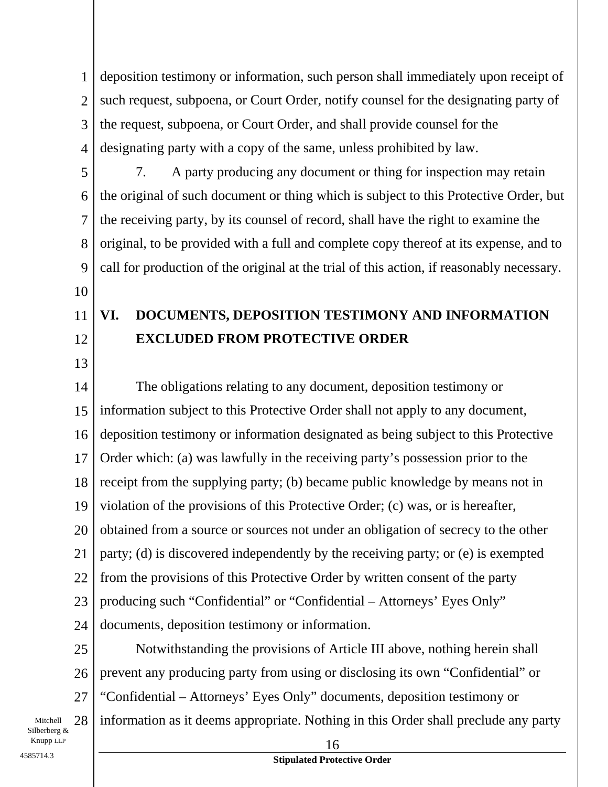1 2 3 4 deposition testimony or information, such person shall immediately upon receipt of such request, subpoena, or Court Order, notify counsel for the designating party of the request, subpoena, or Court Order, and shall provide counsel for the designating party with a copy of the same, unless prohibited by law.

5 6 7 8 9 7. A party producing any document or thing for inspection may retain the original of such document or thing which is subject to this Protective Order, but the receiving party, by its counsel of record, shall have the right to examine the original, to be provided with a full and complete copy thereof at its expense, and to call for production of the original at the trial of this action, if reasonably necessary.

#### 11 12 **VI. DOCUMENTS, DEPOSITION TESTIMONY AND INFORMATION EXCLUDED FROM PROTECTIVE ORDER**

13

10

14 15 16 17 18 19 20 21 22 23 24 The obligations relating to any document, deposition testimony or information subject to this Protective Order shall not apply to any document, deposition testimony or information designated as being subject to this Protective Order which: (a) was lawfully in the receiving party's possession prior to the receipt from the supplying party; (b) became public knowledge by means not in violation of the provisions of this Protective Order; (c) was, or is hereafter, obtained from a source or sources not under an obligation of secrecy to the other party; (d) is discovered independently by the receiving party; or (e) is exempted from the provisions of this Protective Order by written consent of the party producing such "Confidential" or "Confidential – Attorneys' Eyes Only" documents, deposition testimony or information.

25 26 27 Mitchell 28 Notwithstanding the provisions of Article III above, nothing herein shall prevent any producing party from using or disclosing its own "Confidential" or "Confidential – Attorneys' Eyes Only" documents, deposition testimony or information as it deems appropriate. Nothing in this Order shall preclude any party

Silberberg &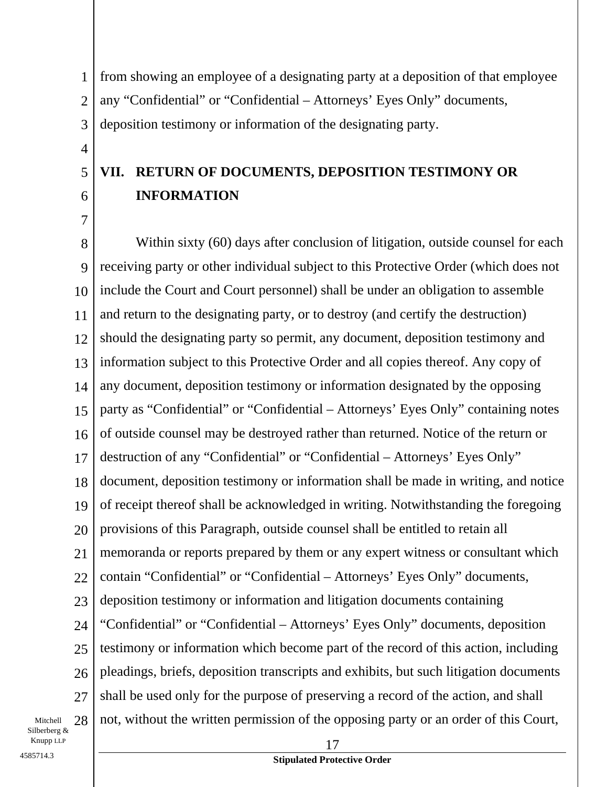1 2 3 from showing an employee of a designating party at a deposition of that employee any "Confidential" or "Confidential – Attorneys' Eyes Only" documents, deposition testimony or information of the designating party.

#### 6 **VII. RETURN OF DOCUMENTS, DEPOSITION TESTIMONY OR INFORMATION**

8 9 10 11 12 13 14 15 16 17 18 19 20 21 22 23 24 25 26 27 Within sixty (60) days after conclusion of litigation, outside counsel for each receiving party or other individual subject to this Protective Order (which does not include the Court and Court personnel) shall be under an obligation to assemble and return to the designating party, or to destroy (and certify the destruction) should the designating party so permit, any document, deposition testimony and information subject to this Protective Order and all copies thereof. Any copy of any document, deposition testimony or information designated by the opposing party as "Confidential" or "Confidential – Attorneys' Eyes Only" containing notes of outside counsel may be destroyed rather than returned. Notice of the return or destruction of any "Confidential" or "Confidential – Attorneys' Eyes Only" document, deposition testimony or information shall be made in writing, and notice of receipt thereof shall be acknowledged in writing. Notwithstanding the foregoing provisions of this Paragraph, outside counsel shall be entitled to retain all memoranda or reports prepared by them or any expert witness or consultant which contain "Confidential" or "Confidential – Attorneys' Eyes Only" documents, deposition testimony or information and litigation documents containing "Confidential" or "Confidential – Attorneys' Eyes Only" documents, deposition testimony or information which become part of the record of this action, including pleadings, briefs, deposition transcripts and exhibits, but such litigation documents shall be used only for the purpose of preserving a record of the action, and shall not, without the written permission of the opposing party or an order of this Court,

Mitchell 28 Silberberg & Knupp LLP 17

4

5

7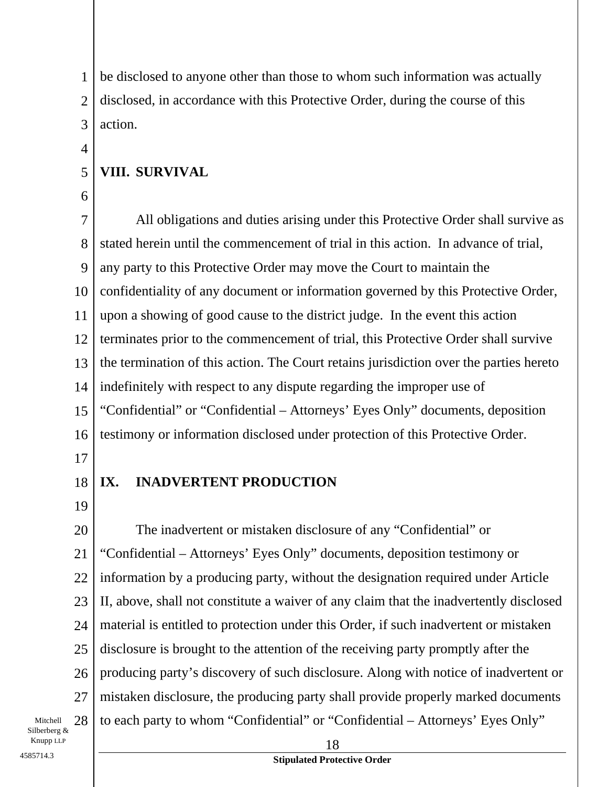1 2 3 be disclosed to anyone other than those to whom such information was actually disclosed, in accordance with this Protective Order, during the course of this action.

### **VIII. SURVIVAL**

6

5

4

7 8 9 10 11 12 13 14 15 16 All obligations and duties arising under this Protective Order shall survive as stated herein until the commencement of trial in this action. In advance of trial, any party to this Protective Order may move the Court to maintain the confidentiality of any document or information governed by this Protective Order, upon a showing of good cause to the district judge. In the event this action terminates prior to the commencement of trial, this Protective Order shall survive the termination of this action. The Court retains jurisdiction over the parties hereto indefinitely with respect to any dispute regarding the improper use of "Confidential" or "Confidential – Attorneys' Eyes Only" documents, deposition testimony or information disclosed under protection of this Protective Order.

17

#### 18 **IX. INADVERTENT PRODUCTION**

19

20 21 22 23 24 25 26 27 The inadvertent or mistaken disclosure of any "Confidential" or "Confidential – Attorneys' Eyes Only" documents, deposition testimony or information by a producing party, without the designation required under Article II, above, shall not constitute a waiver of any claim that the inadvertently disclosed material is entitled to protection under this Order, if such inadvertent or mistaken disclosure is brought to the attention of the receiving party promptly after the producing party's discovery of such disclosure. Along with notice of inadvertent or mistaken disclosure, the producing party shall provide properly marked documents to each party to whom "Confidential" or "Confidential – Attorneys' Eyes Only"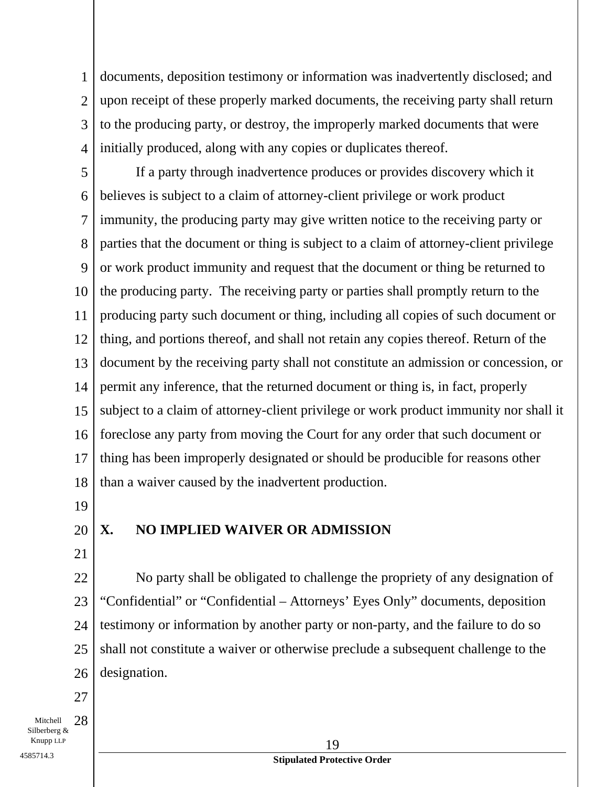1 2 3 4 documents, deposition testimony or information was inadvertently disclosed; and upon receipt of these properly marked documents, the receiving party shall return to the producing party, or destroy, the improperly marked documents that were initially produced, along with any copies or duplicates thereof.

5 6 7 8 9 10 11 12 13 14 15 16 17 18 If a party through inadvertence produces or provides discovery which it believes is subject to a claim of attorney-client privilege or work product immunity, the producing party may give written notice to the receiving party or parties that the document or thing is subject to a claim of attorney-client privilege or work product immunity and request that the document or thing be returned to the producing party. The receiving party or parties shall promptly return to the producing party such document or thing, including all copies of such document or thing, and portions thereof, and shall not retain any copies thereof. Return of the document by the receiving party shall not constitute an admission or concession, or permit any inference, that the returned document or thing is, in fact, properly subject to a claim of attorney-client privilege or work product immunity nor shall it foreclose any party from moving the Court for any order that such document or thing has been improperly designated or should be producible for reasons other than a waiver caused by the inadvertent production.

19

20

### **X. NO IMPLIED WAIVER OR ADMISSION**

21

22 23 24 25 26 No party shall be obligated to challenge the propriety of any designation of "Confidential" or "Confidential – Attorneys' Eyes Only" documents, deposition testimony or information by another party or non-party, and the failure to do so shall not constitute a waiver or otherwise preclude a subsequent challenge to the designation.

27

Mitchell 28 Silberberg &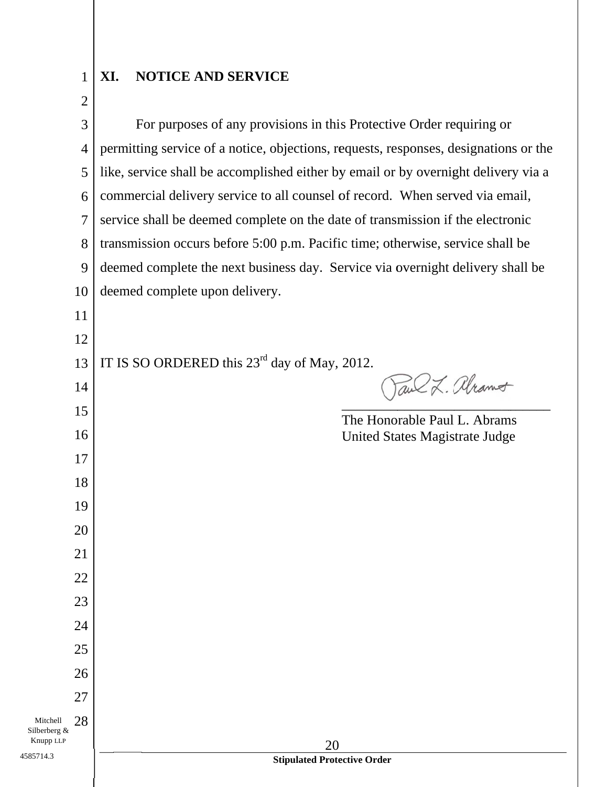#### **XI I. NOTICE AND SERVICE**

2

1

Mitche

4585714.3

3 For purposes of any provisions in this Protective Order requiring or<br>permitting service of a notice, objections, requests, responses, designations or the For purposes of any provisions in this Protective Order requiring or 4 5 like, service shall be accomplished either by email or by overnight delivery via a commercial delivery service to all counsel of record. When served via email, 6 7 service shall be deemed complete on the date of transmission if the electronic 8 transmission occurs before 5:00 p.m. Pacific time; otherwise, service shall be deemed complete the next business day. Service via overnight delivery shall be 9 deemed complete upon delivery. 10 11 12 IT IS SO ORDERED this  $23<sup>rd</sup>$  day of May, 2012. 13 Paul L. Alramot 14  $\overline{\phantom{a}}$  $\overline{\phantom{a}}$ \_\_\_\_\_\_\_\_\_  $\overline{\phantom{a}}$   $\overline{\phantom{a}}$ 15 The Honorable Paul L. Abrams 16 United States Magistrate Judge 17 18 19 20 21 22 23 24 25 26 27 28 Silberberg & Knupp L LLP 20 **Stipulated Protective Order**